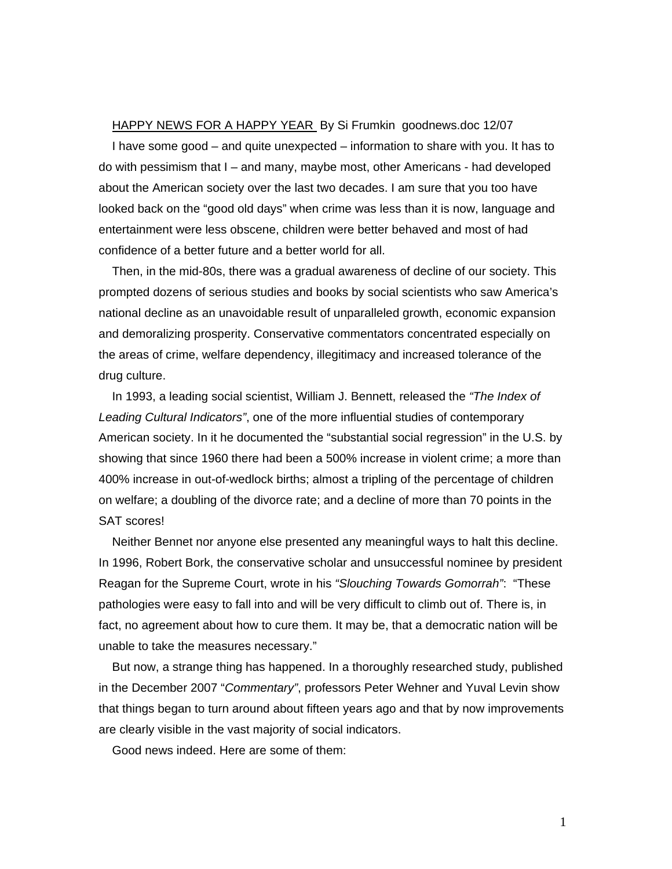HAPPY NEWS FOR A HAPPY YEAR By Si Frumkin goodnews.doc 12/07

I have some good – and quite unexpected – information to share with you. It has to do with pessimism that I – and many, maybe most, other Americans - had developed about the American society over the last two decades. I am sure that you too have looked back on the "good old days" when crime was less than it is now, language and entertainment were less obscene, children were better behaved and most of had confidence of a better future and a better world for all.

Then, in the mid-80s, there was a gradual awareness of decline of our society. This prompted dozens of serious studies and books by social scientists who saw America's national decline as an unavoidable result of unparalleled growth, economic expansion and demoralizing prosperity. Conservative commentators concentrated especially on the areas of crime, welfare dependency, illegitimacy and increased tolerance of the drug culture.

In 1993, a leading social scientist, William J. Bennett, released the *"The Index of Leading Cultural Indicators"*, one of the more influential studies of contemporary American society. In it he documented the "substantial social regression" in the U.S. by showing that since 1960 there had been a 500% increase in violent crime; a more than 400% increase in out-of-wedlock births; almost a tripling of the percentage of children on welfare; a doubling of the divorce rate; and a decline of more than 70 points in the SAT scores!

Neither Bennet nor anyone else presented any meaningful ways to halt this decline. In 1996, Robert Bork, the conservative scholar and unsuccessful nominee by president Reagan for the Supreme Court, wrote in his *"Slouching Towards Gomorrah"*: "These pathologies were easy to fall into and will be very difficult to climb out of. There is, in fact, no agreement about how to cure them. It may be, that a democratic nation will be unable to take the measures necessary."

But now, a strange thing has happened. In a thoroughly researched study, published in the December 2007 "*Commentary"*, professors Peter Wehner and Yuval Levin show that things began to turn around about fifteen years ago and that by now improvements are clearly visible in the vast majority of social indicators.

Good news indeed. Here are some of them:

1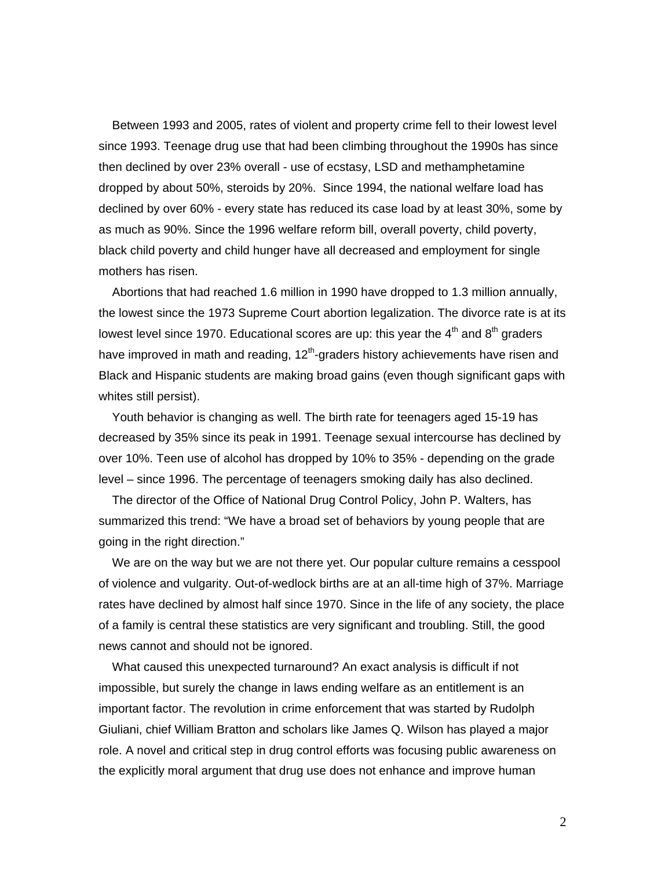Between 1993 and 2005, rates of violent and property crime fell to their lowest level since 1993. Teenage drug use that had been climbing throughout the 1990s has since then declined by over 23% overall - use of ecstasy, LSD and methamphetamine dropped by about 50%, steroids by 20%. Since 1994, the national welfare load has declined by over 60% - every state has reduced its case load by at least 30%, some by as much as 90%. Since the 1996 welfare reform bill, overall poverty, child poverty, black child poverty and child hunger have all decreased and employment for single mothers has risen.

Abortions that had reached 1.6 million in 1990 have dropped to 1.3 million annually, the lowest since the 1973 Supreme Court abortion legalization. The divorce rate is at its lowest level since 1970. Educational scores are up: this year the  $4<sup>th</sup>$  and  $8<sup>th</sup>$  graders have improved in math and reading,  $12<sup>th</sup>$ -graders history achievements have risen and Black and Hispanic students are making broad gains (even though significant gaps with whites still persist).

Youth behavior is changing as well. The birth rate for teenagers aged 15-19 has decreased by 35% since its peak in 1991. Teenage sexual intercourse has declined by over 10%. Teen use of alcohol has dropped by 10% to 35% - depending on the grade level – since 1996. The percentage of teenagers smoking daily has also declined.

The director of the Office of National Drug Control Policy, John P. Walters, has summarized this trend: "We have a broad set of behaviors by young people that are going in the right direction."

We are on the way but we are not there yet. Our popular culture remains a cesspool of violence and vulgarity. Out-of-wedlock births are at an all-time high of 37%. Marriage rates have declined by almost half since 1970. Since in the life of any society, the place of a family is central these statistics are very significant and troubling. Still, the good news cannot and should not be ignored.

What caused this unexpected turnaround? An exact analysis is difficult if not impossible, but surely the change in laws ending welfare as an entitlement is an important factor. The revolution in crime enforcement that was started by Rudolph Giuliani, chief William Bratton and scholars like James Q. Wilson has played a major role. A novel and critical step in drug control efforts was focusing public awareness on the explicitly moral argument that drug use does not enhance and improve human